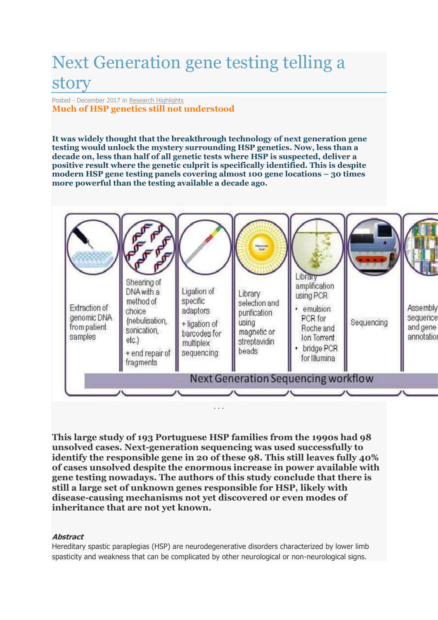## Next Generation gene testing telling a story

Posted - December 2017 in [Research Highlights](https://hspersunite.org.au/news/research-highlights/) **Much of HSP genetics still not understood**

**It was widely thought that the breakthrough technology of next generation gene testing would unlock the mystery surrounding HSP genetics. Now, less than a decade on, less than half of all genetic tests where HSP is suspected, deliver a positive result where the genetic culprit is specifically identified. This is despite modern HSP gene testing panels covering almost 100 gene locations – 30 times more powerful than the testing available a decade ago.**



**This large study of 193 Portuguese HSP families from the 1990s had 98 unsolved cases. Next-generation sequencing was used successfully to identify the responsible gene in 20 of these 98. This still leaves fully 40% of cases unsolved despite the enormous increase in power available with gene testing nowadays. The authors of this study conclude that there is still a large set of unknown genes responsible for HSP, likely with disease-causing mechanisms not yet discovered or even modes of inheritance that are not yet known.**

## **Abstract**

Hereditary spastic paraplegias (HSP) are neurodegenerative disorders characterized by lower limb spasticity and weakness that can be complicated by other neurological or non-neurological signs.